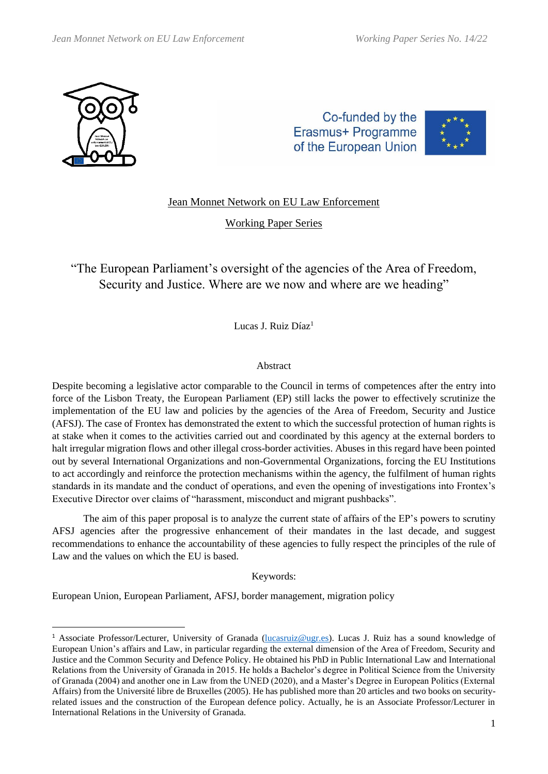

Co-funded by the Erasmus+ Programme of the European Union



# Jean Monnet Network on EU Law Enforcement

Working Paper Series

"The European Parliament's oversight of the agencies of the Area of Freedom, Security and Justice. Where are we now and where are we heading"

Lucas J. Ruiz Díaz<sup>1</sup>

## Abstract

Despite becoming a legislative actor comparable to the Council in terms of competences after the entry into force of the Lisbon Treaty, the European Parliament (EP) still lacks the power to effectively scrutinize the implementation of the EU law and policies by the agencies of the Area of Freedom, Security and Justice (AFSJ). The case of Frontex has demonstrated the extent to which the successful protection of human rights is at stake when it comes to the activities carried out and coordinated by this agency at the external borders to halt irregular migration flows and other illegal cross-border activities. Abuses in this regard have been pointed out by several International Organizations and non-Governmental Organizations, forcing the EU Institutions to act accordingly and reinforce the protection mechanisms within the agency, the fulfilment of human rights standards in its mandate and the conduct of operations, and even the opening of investigations into Frontex's Executive Director over claims of "harassment, misconduct and migrant pushbacks".

The aim of this paper proposal is to analyze the current state of affairs of the EP's powers to scrutiny AFSJ agencies after the progressive enhancement of their mandates in the last decade, and suggest recommendations to enhance the accountability of these agencies to fully respect the principles of the rule of Law and the values on which the EU is based.

Keywords:

European Union, European Parliament, AFSJ, border management, migration policy

<sup>&</sup>lt;sup>1</sup> Associate Professor/Lecturer, University of Granada (*lucasruiz@ugr.es*). Lucas J. Ruiz has a sound knowledge of European Union's affairs and Law, in particular regarding the external dimension of the Area of Freedom, Security and Justice and the Common Security and Defence Policy. He obtained his PhD in Public International Law and International Relations from the University of Granada in 2015. He holds a Bachelor's degree in Political Science from the University of Granada (2004) and another one in Law from the UNED (2020), and a Master's Degree in European Politics (External Affairs) from the Université libre de Bruxelles (2005). He has published more than 20 articles and two books on securityrelated issues and the construction of the European defence policy. Actually, he is an Associate Professor/Lecturer in International Relations in the University of Granada.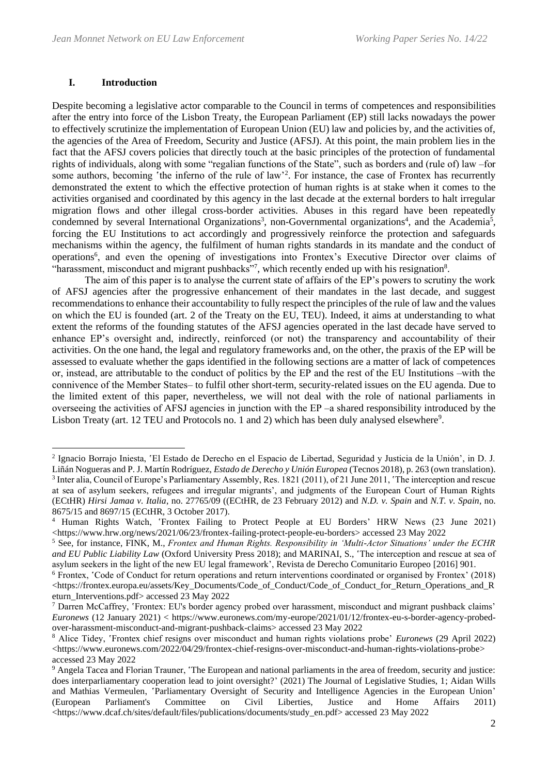## **I. Introduction**

Despite becoming a legislative actor comparable to the Council in terms of competences and responsibilities after the entry into force of the Lisbon Treaty, the European Parliament (EP) still lacks nowadays the power to effectively scrutinize the implementation of European Union (EU) law and policies by, and the activities of, the agencies of the Area of Freedom, Security and Justice (AFSJ). At this point, the main problem lies in the fact that the AFSJ covers policies that directly touch at the basic principles of the protection of fundamental rights of individuals, along with some "regalian functions of the State", such as borders and (rule of) law ‒for some authors, becoming 'the inferno of the rule of law'<sup>2</sup>. For instance, the case of Frontex has recurrently demonstrated the extent to which the effective protection of human rights is at stake when it comes to the activities organised and coordinated by this agency in the last decade at the external borders to halt irregular migration flows and other illegal cross-border activities. Abuses in this regard have been repeatedly condemned by several International Organizations<sup>3</sup>, non-Governmental organizations<sup>4</sup>, and the Academia<sup>5</sup>, forcing the EU Institutions to act accordingly and progressively reinforce the protection and safeguards mechanisms within the agency, the fulfilment of human rights standards in its mandate and the conduct of operations<sup>6</sup>, and even the opening of investigations into Frontex's Executive Director over claims of "harassment, misconduct and migrant pushbacks"7, which recently ended up with his resignation<sup>8</sup>.

The aim of this paper is to analyse the current state of affairs of the EP's powers to scrutiny the work of AFSJ agencies after the progressive enhancement of their mandates in the last decade, and suggest recommendations to enhance their accountability to fully respect the principles of the rule of law and the values on which the EU is founded (art. 2 of the Treaty on the EU, TEU). Indeed, it aims at understanding to what extent the reforms of the founding statutes of the AFSJ agencies operated in the last decade have served to enhance EP's oversight and, indirectly, reinforced (or not) the transparency and accountability of their activities. On the one hand, the legal and regulatory frameworks and, on the other, the praxis of the EP will be assessed to evaluate whether the gaps identified in the following sections are a matter of lack of competences or, instead, are attributable to the conduct of politics by the EP and the rest of the EU Institutions ‒with the connivence of the Member States— to fulfil other short-term, security-related issues on the EU agenda. Due to the limited extent of this paper, nevertheless, we will not deal with the role of national parliaments in overseeing the activities of AFSJ agencies in junction with the EP ‒a shared responsibility introduced by the Lisbon Treaty (art. 12 TEU and Protocols no. 1 and 2) which has been duly analysed elsewhere<sup>9</sup>.

<sup>2</sup> Ignacio Borrajo Iniesta, 'El Estado de Derecho en el Espacio de Libertad, Seguridad y Justicia de la Unión', in D. J. Liñán Nogueras and P. J. Martín Rodríguez, *Estado de Derecho y Unión Europea* (Tecnos 2018), p. 263 (own translation). 3 Inter alia, Council of Europe's Parliamentary Assembly, Res. 1821 (2011), of 21 June 2011, 'The interception and rescue at sea of asylum seekers, refugees and irregular migrants', and judgments of the European Court of Human Rights (ECtHR) *Hirsi Jamaa v. Italia*, no. 27765/09 ((ECtHR, de 23 February 2012) and *N.D. v. Spain* and *N.T. v. Spain*, no. 8675/15 and 8697/15 (ECtHR, 3 October 2017).

<sup>4</sup> Human Rights Watch, 'Frontex Failing to Protect People at EU Borders' HRW News (23 June 2021) <https://www.hrw.org/news/2021/06/23/frontex-failing-protect-people-eu-borders> accessed 23 May 2022

<sup>5</sup> See, for instance, FINK, M., *Frontex and Human Rights. Responsibility in 'Multi-Actor Situations' under the ECHR and EU Public Liability Law* (Oxford University Press 2018); and MARINAI, S., 'The interception and rescue at sea of asylum seekers in the light of the new EU legal framework', Revista de Derecho Comunitario Europeo [2016] 901.

<sup>6</sup> Frontex, 'Code of Conduct for return operations and return interventions coordinated or organised by Frontex' (2018) <https://frontex.europa.eu/assets/Key\_Documents/Code\_of\_Conduct/Code\_of\_Conduct\_for\_Return\_Operations\_and\_R eturn\_Interventions.pdf> accessed 23 May 2022

<sup>7</sup> Darren McCaffrey, 'Frontex: EU's border agency probed over harassment, misconduct and migrant pushback claims' *Euronews* (12 January 2021) < https://www.euronews.com/my-europe/2021/01/12/frontex-eu-s-border-agency-probedover-harassment-misconduct-and-migrant-pushback-claims> accessed 23 May 2022

<sup>8</sup> Alice Tidey, 'Frontex chief resigns over misconduct and human rights violations probe' *Euronews* (29 April 2022)  $\langle$ https://www.euronews.com/2022/04/29/frontex-chief-resigns-over-misconduct-and-human-rights-violations-probe> accessed 23 May 2022

<sup>9</sup> Angela Tacea and Florian Trauner, 'The European and national parliaments in the area of freedom, security and justice: does interparliamentary cooperation lead to joint oversight?' (2021) The Journal of Legislative Studies, 1; Aidan Wills and Mathias Vermeulen, 'Parliamentary Oversight of Security and Intelligence Agencies in the European Union' (European Parliament's Committee on Civil Liberties, Justice and Home Affairs 2011) <https://www.dcaf.ch/sites/default/files/publications/documents/study\_en.pdf> accessed 23 May 2022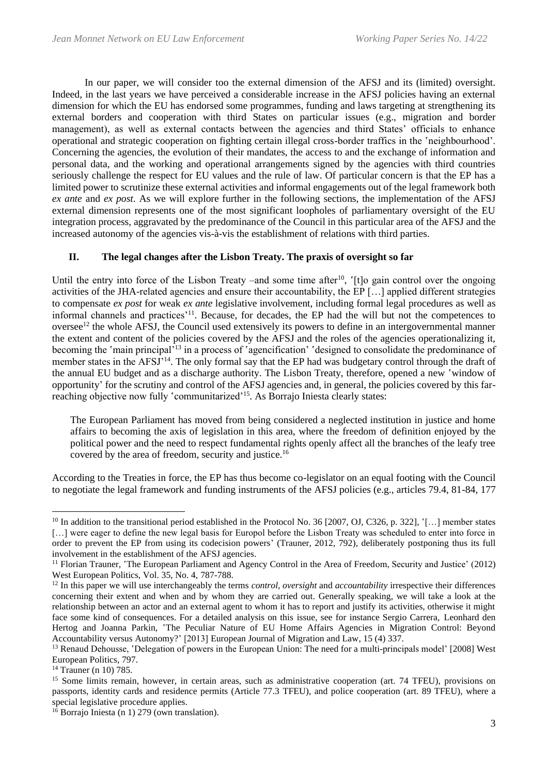In our paper, we will consider too the external dimension of the AFSJ and its (limited) oversight. Indeed, in the last years we have perceived a considerable increase in the AFSJ policies having an external dimension for which the EU has endorsed some programmes, funding and laws targeting at strengthening its external borders and cooperation with third States on particular issues (e.g., migration and border management), as well as external contacts between the agencies and third States' officials to enhance operational and strategic cooperation on fighting certain illegal cross-border traffics in the 'neighbourhood'. Concerning the agencies, the evolution of their mandates, the access to and the exchange of information and personal data, and the working and operational arrangements signed by the agencies with third countries seriously challenge the respect for EU values and the rule of law. Of particular concern is that the EP has a limited power to scrutinize these external activities and informal engagements out of the legal framework both *ex ante* and *ex post*. As we will explore further in the following sections, the implementation of the AFSJ external dimension represents one of the most significant loopholes of parliamentary oversight of the EU integration process, aggravated by the predominance of the Council in this particular area of the AFSJ and the increased autonomy of the agencies vis-à-vis the establishment of relations with third parties.

## **II. The legal changes after the Lisbon Treaty. The praxis of oversight so far**

Until the entry into force of the Lisbon Treaty –and some time after<sup>10</sup>, '[t]o gain control over the ongoing activities of the JHA-related agencies and ensure their accountability, the EP […] applied different strategies to compensate *ex post* for weak *ex ante* legislative involvement, including formal legal procedures as well as informal channels and practices'<sup>11</sup>. Because, for decades, the EP had the will but not the competences to oversee<sup>12</sup> the whole AFSJ, the Council used extensively its powers to define in an intergovernmental manner the extent and content of the policies covered by the AFSJ and the roles of the agencies operationalizing it, becoming the 'main principal<sup>'13</sup> in a process of 'agencification' 'designed to consolidate the predominance of member states in the AFSJ'<sup>14</sup>. The only formal say that the EP had was budgetary control through the draft of the annual EU budget and as a discharge authority. The Lisbon Treaty, therefore, opened a new 'window of opportunity' for the scrutiny and control of the AFSJ agencies and, in general, the policies covered by this farreaching objective now fully 'communitarized'<sup>15</sup>. As Borrajo Iniesta clearly states:

The European Parliament has moved from being considered a neglected institution in justice and home affairs to becoming the axis of legislation in this area, where the freedom of definition enjoyed by the political power and the need to respect fundamental rights openly affect all the branches of the leafy tree covered by the area of freedom, security and justice.<sup>16</sup>

According to the Treaties in force, the EP has thus become co-legislator on an equal footing with the Council to negotiate the legal framework and funding instruments of the AFSJ policies (e.g., articles 79.4, 81-84, 177

<sup>&</sup>lt;sup>10</sup> In addition to the transitional period established in the Protocol No. 36 [2007, OJ, C326, p. 322], '[…] member states [...] were eager to define the new legal basis for Europol before the Lisbon Treaty was scheduled to enter into force in order to prevent the EP from using its codecision powers' (Trauner, 2012, 792), deliberately postponing thus its full involvement in the establishment of the AFSJ agencies.

<sup>&</sup>lt;sup>11</sup> Florian Trauner, 'The European Parliament and Agency Control in the Area of Freedom, Security and Justice' (2012) West European Politics, Vol. 35, No. 4, 787-788.

<sup>&</sup>lt;sup>12</sup> In this paper we will use interchangeably the terms *control*, *oversight* and *accountability* irrespective their differences concerning their extent and when and by whom they are carried out. Generally speaking, we will take a look at the relationship between an actor and an external agent to whom it has to report and justify its activities, otherwise it might face some kind of consequences. For a detailed analysis on this issue, see for instance Sergio Carrera, Leonhard den Hertog and Joanna Parkin, 'The Peculiar Nature of EU Home Affairs Agencies in Migration Control: Beyond Accountability versus Autonomy?' [2013] European Journal of Migration and Law, 15 (4) 337.

<sup>&</sup>lt;sup>13</sup> Renaud Dehousse, 'Delegation of powers in the European Union: The need for a multi-principals model' [2008] West European Politics, 797.

<sup>&</sup>lt;sup>14</sup> Trauner (n 10) 785.

<sup>&</sup>lt;sup>15</sup> Some limits remain, however, in certain areas, such as administrative cooperation (art. 74 TFEU), provisions on passports, identity cards and residence permits (Article 77.3 TFEU), and police cooperation (art. 89 TFEU), where a special legislative procedure applies.

 $16$  Borrajo Iniesta (n 1) 279 (own translation).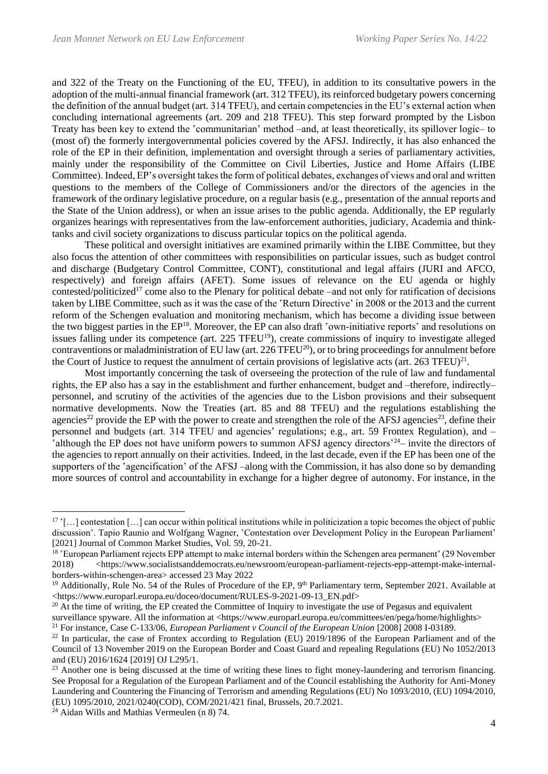and 322 of the Treaty on the Functioning of the EU, TFEU), in addition to its consultative powers in the adoption of the multi-annual financial framework (art. 312 TFEU), its reinforced budgetary powers concerning the definition of the annual budget (art. 314 TFEU), and certain competencies in the EU's external action when concluding international agreements (art. 209 and 218 TFEU). This step forward prompted by the Lisbon Treaty has been key to extend the 'communitarian' method –and, at least theoretically, its spillover logic– to (most of) the formerly intergovernmental policies covered by the AFSJ. Indirectly, it has also enhanced the role of the EP in their definition, implementation and oversight through a series of parliamentary activities, mainly under the responsibility of the Committee on Civil Liberties, Justice and Home Affairs (LIBE Committee). Indeed, EP's oversight takes the form of political debates, exchanges of views and oral and written questions to the members of the College of Commissioners and/or the directors of the agencies in the framework of the ordinary legislative procedure, on a regular basis (e.g., presentation of the annual reports and the State of the Union address), or when an issue arises to the public agenda. Additionally, the EP regularly organizes hearings with representatives from the law-enforcement authorities, judiciary, Academia and thinktanks and civil society organizations to discuss particular topics on the political agenda.

These political and oversight initiatives are examined primarily within the LIBE Committee, but they also focus the attention of other committees with responsibilities on particular issues, such as budget control and discharge (Budgetary Control Committee, CONT), constitutional and legal affairs (JURI and AFCO, respectively) and foreign affairs (AFET). Some issues of relevance on the EU agenda or highly contested/politicized<sup>17</sup> come also to the Plenary for political debate  $-\text{and}$  not only for ratification of decisions taken by LIBE Committee, such as it was the case of the 'Return Directive' in 2008 or the 2013 and the current reform of the Schengen evaluation and monitoring mechanism, which has become a dividing issue between the two biggest parties in the EP<sup>18</sup>. Moreover, the EP can also draft 'own-initiative reports' and resolutions on issues falling under its competence (art. 225 TFEU<sup>19</sup>), create commissions of inquiry to investigate alleged contraventions or maladministration of EU law (art. 226 TFEU<sup>20</sup>), or to bring proceedings for annulment before the Court of Justice to request the annulment of certain provisions of legislative acts (art.  $263$  TFEU) $^{21}$ .

Most importantly concerning the task of overseeing the protection of the rule of law and fundamental rights, the EP also has a say in the establishment and further enhancement, budget and -therefore, indirectlypersonnel, and scrutiny of the activities of the agencies due to the Lisbon provisions and their subsequent normative developments. Now the Treaties (art. 85 and 88 TFEU) and the regulations establishing the agencies<sup>22</sup> provide the EP with the power to create and strengthen the role of the AFSJ agencies<sup>23</sup>, define their personnel and budgets (art. 314 TFEU and agencies' regulations; e.g., art. 59 Frontex Regulation), and ‒ 'although the EP does not have uniform powers to summon AFSJ agency directors' $24$ – invite the directors of the agencies to report annually on their activities. Indeed, in the last decade, even if the EP has been one of the supporters of the 'agencification' of the AFSJ-along with the Commission, it has also done so by demanding more sources of control and accountability in exchange for a higher degree of autonomy. For instance, in the

 $17$  '[...] contestation [...] can occur within political institutions while in politicization a topic becomes the object of public discussion'. Tapio Raunio and Wolfgang Wagner, 'Contestation over Development Policy in the European Parliament' [2021] Journal of Common Market Studies, Vol. 59, 20-21.

<sup>&</sup>lt;sup>18</sup> 'European Parliament rejects EPP attempt to make internal borders within the Schengen area permanent' (29 November 2018) <https://www.socialistsanddemocrats.eu/newsroom/european-parliament-rejects-epp-attempt-make-internalborders-within-schengen-area> accessed 23 May 2022

<sup>&</sup>lt;sup>19</sup> Additionally, Rule No. 54 of the Rules of Procedure of the EP, 9<sup>th</sup> Parliamentary term, September 2021. Available at <https://www.europarl.europa.eu/doceo/document/RULES-9-2021-09-13\_EN.pdf>

 $20$  At the time of writing, the EP created the Committee of Inquiry to investigate the use of Pegasus and equivalent surveillance spyware. All the information at <https://www.europarl.europa.eu/committees/en/pega/home/highlights> <sup>21</sup> For instance, Case C-133/06, *European Parliament v Council of the European Union* [2008] 2008 I-03189.

 $22$  In particular, the case of Frontex according to Regulation (EU) 2019/1896 of the European Parliament and of the Council of 13 November 2019 on the European Border and Coast Guard and repealing Regulations (EU) No 1052/2013 and (EU) 2016/1624 [2019] OJ L295/1.

 $^{23}$  Another one is being discussed at the time of writing these lines to fight money-laundering and terrorism financing. See Proposal for a Regulation of the European Parliament and of the Council establishing the Authority for Anti-Money Laundering and Countering the Financing of Terrorism and amending Regulations (EU) No 1093/2010, (EU) 1094/2010, (EU) 1095/2010, 2021/0240(COD), COM/2021/421 final, Brussels, 20.7.2021.

 $24$  Aidan Wills and Mathias Vermeulen (n 8) 74.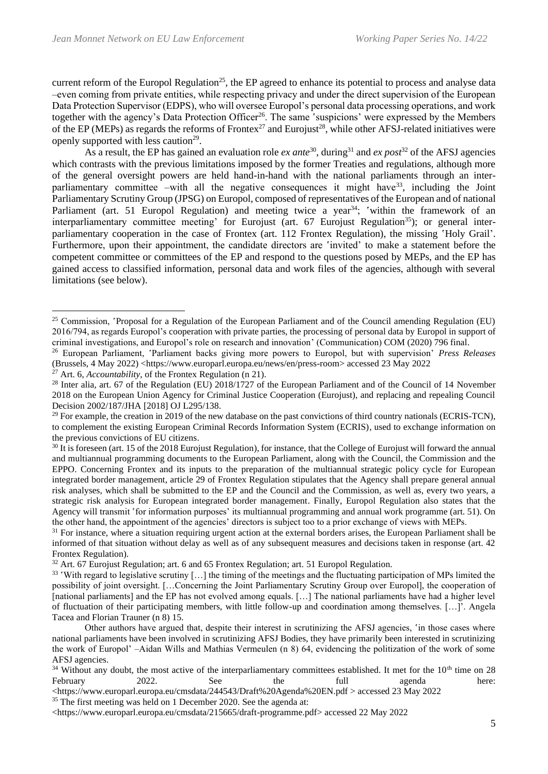current reform of the Europol Regulation<sup>25</sup>, the EP agreed to enhance its potential to process and analyse data -even coming from private entities, while respecting privacy and under the direct supervision of the European Data Protection Supervisor (EDPS), who will oversee Europol's personal data processing operations, and work together with the agency's Data Protection Officer<sup>26</sup>. The same 'suspicions' were expressed by the Members of the EP (MEPs) as regards the reforms of Frontex<sup>27</sup> and Eurojust<sup>28</sup>, while other AFSJ-related initiatives were openly supported with less caution<sup>29</sup>.

As a result, the EP has gained an evaluation role *ex ante*<sup>30</sup>, during<sup>31</sup> and *ex post*<sup>32</sup> of the AFSJ agencies which contrasts with the previous limitations imposed by the former Treaties and regulations, although more of the general oversight powers are held hand-in-hand with the national parliaments through an interparliamentary committee –with all the negative consequences it might have  $33$ , including the Joint Parliamentary Scrutiny Group (JPSG) on Europol, composed of representatives of the European and of national Parliament (art. 51 Europol Regulation) and meeting twice a year<sup>34</sup>; 'within the framework of an interparliamentary committee meeting' for Eurojust (art. 67 Eurojust Regulation<sup>35</sup>); or general interparliamentary cooperation in the case of Frontex (art. 112 Frontex Regulation), the missing 'Holy Grail'. Furthermore, upon their appointment, the candidate directors are 'invited' to make a statement before the competent committee or committees of the EP and respond to the questions posed by MEPs, and the EP has gained access to classified information, personal data and work files of the agencies, although with several limitations (see below).

<sup>&</sup>lt;sup>25</sup> Commission, 'Proposal for a Regulation of the European Parliament and of the Council amending Regulation (EU) 2016/794, as regards Europol's cooperation with private parties, the processing of personal data by Europol in support of criminal investigations, and Europol's role on research and innovation' (Communication) COM (2020) 796 final.

<sup>26</sup> European Parliament, 'Parliament backs giving more powers to Europol, but with supervision' *Press Releases* (Brussels, 4 May 2022) <https://www.europarl.europa.eu/news/en/press-room> accessed 23 May 2022

<sup>27</sup> Art. 6, *Accountability*, of the Frontex Regulation (n 21).

<sup>&</sup>lt;sup>28</sup> Inter alia, art. 67 of the Regulation (EU) 2018/1727 of the European Parliament and of the Council of 14 November 2018 on the European Union Agency for Criminal Justice Cooperation (Eurojust), and replacing and repealing Council Decision 2002/187/JHA [2018] OJ L295/138.

<sup>&</sup>lt;sup>29</sup> For example, the creation in 2019 of the new database on the past convictions of third country nationals (ECRIS-TCN), to complement the existing European Criminal Records Information System (ECRIS), used to exchange information on the previous convictions of EU citizens.

<sup>&</sup>lt;sup>30</sup> It is foreseen (art. 15 of the 2018 Eurojust Regulation), for instance, that the College of Eurojust will forward the annual and multiannual programming documents to the European Parliament, along with the Council, the Commission and the EPPO. Concerning Frontex and its inputs to the preparation of the multiannual strategic policy cycle for European integrated border management, article 29 of Frontex Regulation stipulates that the Agency shall prepare general annual risk analyses, which shall be submitted to the EP and the Council and the Commission, as well as, every two years, a strategic risk analysis for European integrated border management. Finally, Europol Regulation also states that the Agency will transmit 'for information purposes' its multiannual programming and annual work programme (art. 51). On the other hand, the appointment of the agencies' directors is subject too to a prior exchange of views with MEPs.

 $31$  For instance, where a situation requiring urgent action at the external borders arises, the European Parliament shall be informed of that situation without delay as well as of any subsequent measures and decisions taken in response (art. 42 Frontex Regulation).

 $32$  Art. 67 Eurojust Regulation; art. 6 and 65 Frontex Regulation; art. 51 Europol Regulation.

<sup>&</sup>lt;sup>33</sup> 'With regard to legislative scrutiny [...] the timing of the meetings and the fluctuating participation of MPs limited the possibility of joint oversight. […Concerning the Joint Parliamentary Scrutiny Group over Europol], the cooperation of [national parliaments] and the EP has not evolved among equals. […] The national parliaments have had a higher level of fluctuation of their participating members, with little follow-up and coordination among themselves. […]'. Angela Tacea and Florian Trauner (n 8) 15.

Other authors have argued that, despite their interest in scrutinizing the AFSJ agencies, 'in those cases where national parliaments have been involved in scrutinizing AFSJ Bodies, they have primarily been interested in scrutinizing the work of Europol' –Aidan Wills and Mathias Vermeulen (n 8) 64, evidencing the politization of the work of some AFSJ agencies.

<sup>&</sup>lt;sup>34</sup> Without any doubt, the most active of the interparliamentary committees established. It met for the  $10<sup>th</sup>$  time on 28 February 2022. See the full agenda here:

<sup>&</sup>lt;https://www.europarl.europa.eu/cmsdata/244543/Draft%20Agenda%20EN.pdf > accessed 23 May 2022

 $35$  The first meeting was held on 1 December 2020. See the agenda at:

<sup>&</sup>lt;https://www.europarl.europa.eu/cmsdata/215665/draft-programme.pdf> accessed 22 May 2022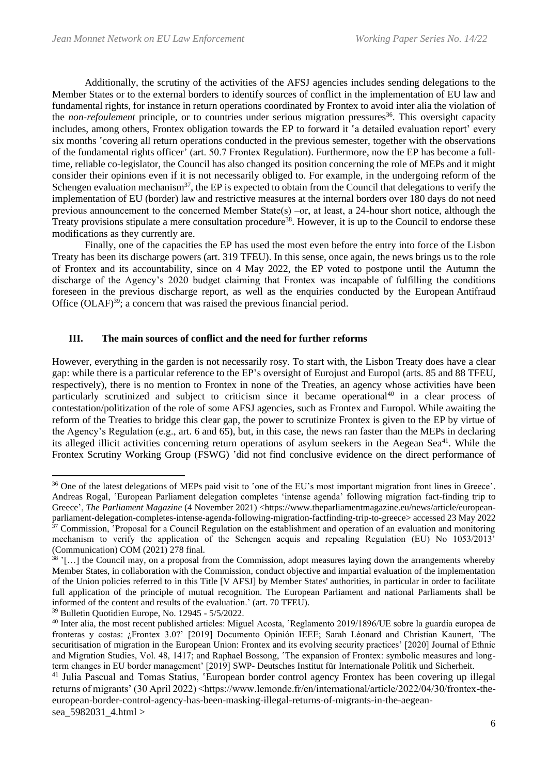Additionally, the scrutiny of the activities of the AFSJ agencies includes sending delegations to the Member States or to the external borders to identify sources of conflict in the implementation of EU law and fundamental rights, for instance in return operations coordinated by Frontex to avoid inter alia the violation of the *non-refoulement* principle, or to countries under serious migration pressures<sup>36</sup>. This oversight capacity includes, among others, Frontex obligation towards the EP to forward it 'a detailed evaluation report' every six months 'covering all return operations conducted in the previous semester, together with the observations of the fundamental rights officer' (art. 50.7 Frontex Regulation). Furthermore, now the EP has become a fulltime, reliable co-legislator, the Council has also changed its position concerning the role of MEPs and it might consider their opinions even if it is not necessarily obliged to. For example, in the undergoing reform of the Schengen evaluation mechanism<sup>37</sup>, the EP is expected to obtain from the Council that delegations to verify the implementation of EU (border) law and restrictive measures at the internal borders over 180 days do not need previous announcement to the concerned Member State(s) –or, at least, a 24-hour short notice, although the Treaty provisions stipulate a mere consultation procedure<sup>38</sup>. However, it is up to the Council to endorse these modifications as they currently are.

Finally, one of the capacities the EP has used the most even before the entry into force of the Lisbon Treaty has been its discharge powers (art. 319 TFEU). In this sense, once again, the news brings us to the role of Frontex and its accountability, since on 4 May 2022, the EP voted to postpone until the Autumn the discharge of the Agency's 2020 budget claiming that Frontex was incapable of fulfilling the conditions foreseen in the previous discharge report, as well as the enquiries conducted by the European Antifraud Office  $(OLAF)^{39}$ ; a concern that was raised the previous financial period.

#### **III. The main sources of conflict and the need for further reforms**

However, everything in the garden is not necessarily rosy. To start with, the Lisbon Treaty does have a clear gap: while there is a particular reference to the EP's oversight of Eurojust and Europol (arts. 85 and 88 TFEU, respectively), there is no mention to Frontex in none of the Treaties, an agency whose activities have been particularly scrutinized and subject to criticism since it became operational<sup>40</sup> in a clear process of contestation/politization of the role of some AFSJ agencies, such as Frontex and Europol. While awaiting the reform of the Treaties to bridge this clear gap, the power to scrutinize Frontex is given to the EP by virtue of the Agency's Regulation (e.g., art. 6 and 65), but, in this case, the news ran faster than the MEPs in declaring its alleged illicit activities concerning return operations of asylum seekers in the Aegean Sea<sup>41</sup>. While the Frontex Scrutiny Working Group (FSWG) 'did not find conclusive evidence on the direct performance of

<sup>&</sup>lt;sup>36</sup> One of the latest delegations of MEPs paid visit to 'one of the EU's most important migration front lines in Greece'. Andreas Rogal, 'European Parliament delegation completes 'intense agenda' following migration fact-finding trip to Greece', *The Parliament Magazine* (4 November 2021) <https://www.theparliamentmagazine.eu/news/article/europeanparliament-delegation-completes-intense-agenda-following-migration-factfinding-trip-to-greece> accessed 23 May 2022  $37$  Commission, 'Proposal for a Council Regulation on the establishment and operation of an evaluation and monitoring mechanism to verify the application of the Schengen acquis and repealing Regulation (EU) No 1053/2013' (Communication) COM (2021) 278 final.

<sup>38</sup> '[…] the Council may, on a proposal from the Commission, adopt measures laying down the arrangements whereby Member States, in collaboration with the Commission, conduct objective and impartial evaluation of the implementation of the Union policies referred to in this Title [V AFSJ] by Member States' authorities, in particular in order to facilitate full application of the principle of mutual recognition. The European Parliament and national Parliaments shall be informed of the content and results of the evaluation.' (art. 70 TFEU).

<sup>39</sup> Bulletin Quotidien Europe, No. 12945 - 5/5/2022.

<sup>40</sup> Inter alia, the most recent published articles: Miguel Acosta, 'Reglamento 2019/1896/UE sobre la guardia europea de fronteras y costas: ¿Frontex 3.0?' [2019] Documento Opinión IEEE; Sarah Léonard and Christian Kaunert, 'The securitisation of migration in the European Union: Frontex and its evolving security practices' [2020] Journal of Ethnic and Migration Studies, Vol. 48, 1417; and Raphael Bossong, 'The expansion of Frontex: symbolic measures and longterm changes in EU border management' [2019] SWP- Deutsches Institut für Internationale Politik und Sicherheit.

<sup>&</sup>lt;sup>41</sup> Julia Pascual and Tomas Statius, 'European border control agency Frontex has been covering up illegal returns of migrants' (30 April 2022) <https://www.lemonde.fr/en/international/article/2022/04/30/frontex-theeuropean-border-control-agency-has-been-masking-illegal-returns-of-migrants-in-the-aegeansea\_5982031\_4.html >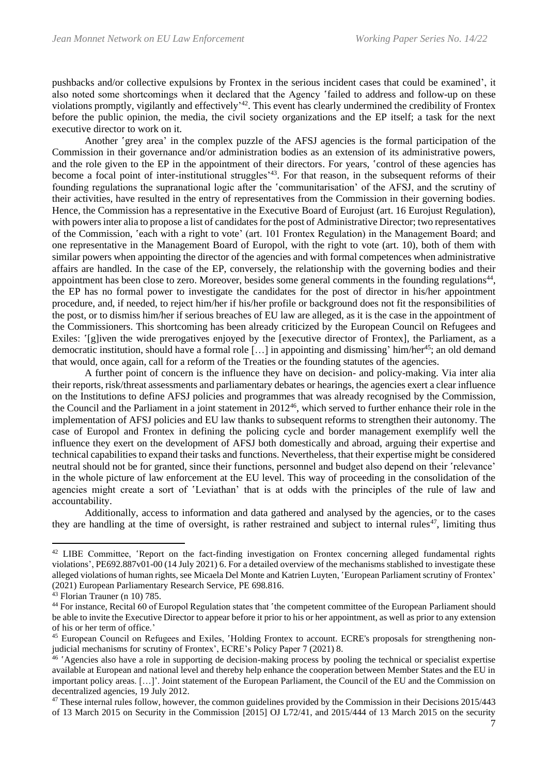pushbacks and/or collective expulsions by Frontex in the serious incident cases that could be examined', it also noted some shortcomings when it declared that the Agency 'failed to address and follow-up on these violations promptly, vigilantly and effectively<sup>142</sup>. This event has clearly undermined the credibility of Frontex before the public opinion, the media, the civil society organizations and the EP itself; a task for the next executive director to work on it.

Another 'grey area' in the complex puzzle of the AFSJ agencies is the formal participation of the Commission in their governance and/or administration bodies as an extension of its administrative powers, and the role given to the EP in the appointment of their directors. For years, 'control of these agencies has become a focal point of inter-institutional struggles<sup>'43</sup>. For that reason, in the subsequent reforms of their founding regulations the supranational logic after the 'communitarisation' of the AFSJ, and the scrutiny of their activities, have resulted in the entry of representatives from the Commission in their governing bodies. Hence, the Commission has a representative in the Executive Board of Eurojust (art. 16 Eurojust Regulation), with powers inter alia to propose a list of candidates for the post of Administrative Director; two representatives of the Commission, 'each with a right to vote' (art. 101 Frontex Regulation) in the Management Board; and one representative in the Management Board of Europol, with the right to vote (art. 10), both of them with similar powers when appointing the director of the agencies and with formal competences when administrative affairs are handled. In the case of the EP, conversely, the relationship with the governing bodies and their appointment has been close to zero. Moreover, besides some general comments in the founding regulations $44$ , the EP has no formal power to investigate the candidates for the post of director in his/her appointment procedure, and, if needed, to reject him/her if his/her profile or background does not fit the responsibilities of the post, or to dismiss him/her if serious breaches of EU law are alleged, as it is the case in the appointment of the Commissioners. This shortcoming has been already criticized by the European Council on Refugees and Exiles: '[g]iven the wide prerogatives enjoyed by the [executive director of Frontex], the Parliament, as a democratic institution, should have a formal role  $[\dots]$  in appointing and dismissing' him/her<sup>45</sup>; an old demand that would, once again, call for a reform of the Treaties or the founding statutes of the agencies.

A further point of concern is the influence they have on decision- and policy-making. Via inter alia their reports, risk/threat assessments and parliamentary debates or hearings, the agencies exert a clear influence on the Institutions to define AFSJ policies and programmes that was already recognised by the Commission, the Council and the Parliament in a joint statement in 2012<sup>46</sup>, which served to further enhance their role in the implementation of AFSJ policies and EU law thanks to subsequent reforms to strengthen their autonomy. The case of Europol and Frontex in defining the policing cycle and border management exemplify well the influence they exert on the development of AFSJ both domestically and abroad, arguing their expertise and technical capabilities to expand their tasks and functions. Nevertheless, that their expertise might be considered neutral should not be for granted, since their functions, personnel and budget also depend on their 'relevance' in the whole picture of law enforcement at the EU level. This way of proceeding in the consolidation of the agencies might create a sort of 'Leviathan' that is at odds with the principles of the rule of law and accountability.

Additionally, access to information and data gathered and analysed by the agencies, or to the cases they are handling at the time of oversight, is rather restrained and subject to internal rules<sup>47</sup>, limiting thus

<sup>&</sup>lt;sup>42</sup> LIBE Committee, 'Report on the fact-finding investigation on Frontex concerning alleged fundamental rights violations', PE692.887v01-00 (14 July 2021) 6. For a detailed overview of the mechanisms stablished to investigate these alleged violations of human rights, see Micaela Del Monte and Katrien Luyten, 'European Parliament scrutiny of Frontex' (2021) European Parliamentary Research Service, PE 698.816.

 $43$  Florian Trauner (n 10) 785.

<sup>44</sup> For instance, Recital 60 of Europol Regulation states that 'the competent committee of the European Parliament should be able to invite the Executive Director to appear before it prior to his or her appointment, as well as prior to any extension of his or her term of office.'

<sup>&</sup>lt;sup>45</sup> European Council on Refugees and Exiles, 'Holding Frontex to account. ECRE's proposals for strengthening nonjudicial mechanisms for scrutiny of Frontex', ECRE's Policy Paper 7 (2021) 8.

<sup>&</sup>lt;sup>46</sup> 'Agencies also have a role in supporting de decision-making process by pooling the technical or specialist expertise available at European and national level and thereby help enhance the cooperation between Member States and the EU in important policy areas. […]'. Joint statement of the European Parliament, the Council of the EU and the Commission on decentralized agencies, 19 July 2012.

<sup>&</sup>lt;sup>47</sup> These internal rules follow, however, the common guidelines provided by the Commission in their Decisions 2015/443 of 13 March 2015 on Security in the Commission [2015] OJ L72/41, and 2015/444 of 13 March 2015 on the security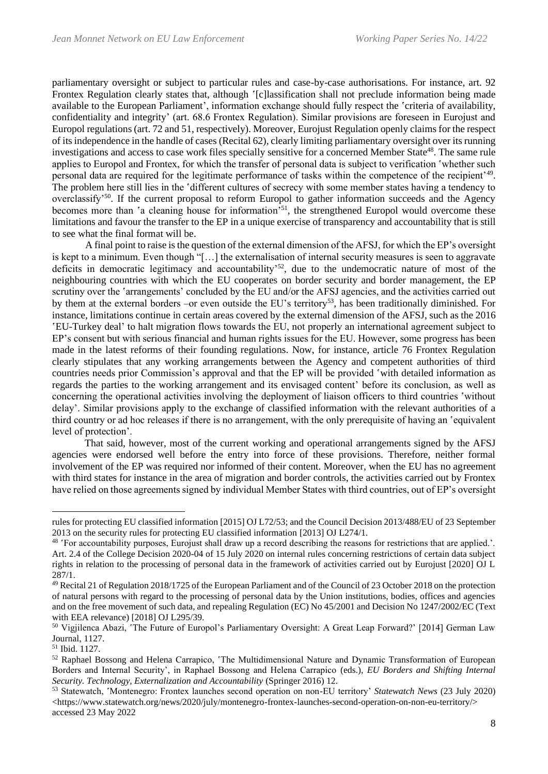parliamentary oversight or subject to particular rules and case-by-case authorisations. For instance, art. 92 Frontex Regulation clearly states that, although '[c]lassification shall not preclude information being made available to the European Parliament', information exchange should fully respect the 'criteria of availability, confidentiality and integrity' (art. 68.6 Frontex Regulation). Similar provisions are foreseen in Eurojust and Europol regulations (art. 72 and 51, respectively). Moreover, Eurojust Regulation openly claims for the respect of its independence in the handle of cases (Recital 62), clearly limiting parliamentary oversight over its running investigations and access to case work files specially sensitive for a concerned Member State<sup>48</sup>. The same rule applies to Europol and Frontex, for which the transfer of personal data is subject to verification 'whether such personal data are required for the legitimate performance of tasks within the competence of the recipient'<sup>49</sup>. The problem here still lies in the 'different cultures of secrecy with some member states having a tendency to overclassify'<sup>50</sup>. If the current proposal to reform Europol to gather information succeeds and the Agency becomes more than 'a cleaning house for information<sup>51</sup>, the strengthened Europol would overcome these limitations and favour the transfer to the EP in a unique exercise of transparency and accountability that is still to see what the final format will be.

A final point to raise is the question of the external dimension of the AFSJ, for which the EP's oversight is kept to a minimum. Even though "[…] the externalisation of internal security measures is seen to aggravate deficits in democratic legitimacy and accountability'<sup>52</sup>, due to the undemocratic nature of most of the neighbouring countries with which the EU cooperates on border security and border management, the EP scrutiny over the 'arrangements' concluded by the EU and/or the AFSJ agencies, and the activities carried out by them at the external borders –or even outside the EU's territory<sup>53</sup>, has been traditionally diminished. For instance, limitations continue in certain areas covered by the external dimension of the AFSJ, such as the 2016 'EU-Turkey deal' to halt migration flows towards the EU, not properly an international agreement subject to EP's consent but with serious financial and human rights issues for the EU. However, some progress has been made in the latest reforms of their founding regulations. Now, for instance, article 76 Frontex Regulation clearly stipulates that any working arrangements between the Agency and competent authorities of third countries needs prior Commission's approval and that the EP will be provided 'with detailed information as regards the parties to the working arrangement and its envisaged content' before its conclusion, as well as concerning the operational activities involving the deployment of liaison officers to third countries 'without delay'. Similar provisions apply to the exchange of classified information with the relevant authorities of a third country or ad hoc releases if there is no arrangement, with the only prerequisite of having an 'equivalent level of protection'.

That said, however, most of the current working and operational arrangements signed by the AFSJ agencies were endorsed well before the entry into force of these provisions. Therefore, neither formal involvement of the EP was required nor informed of their content. Moreover, when the EU has no agreement with third states for instance in the area of migration and border controls, the activities carried out by Frontex have relied on those agreements signed by individual Member States with third countries, out of EP's oversight

rules for protecting EU classified information [2015] OJ L72/53; and the Council Decision 2013/488/EU of 23 September 2013 on the security rules for protecting EU classified information [2013] OJ L274/1.

<sup>48</sup> 'For accountability purposes, Eurojust shall draw up a record describing the reasons for restrictions that are applied.'. Art. 2.4 of the College Decision 2020-04 of 15 July 2020 on internal rules concerning restrictions of certain data subject rights in relation to the processing of personal data in the framework of activities carried out by Eurojust [2020] OJ L 287/1.

<sup>49</sup> Recital 21 of Regulation 2018/1725 of the European Parliament and of the Council of 23 October 2018 on the protection of natural persons with regard to the processing of personal data by the Union institutions, bodies, offices and agencies and on the free movement of such data, and repealing Regulation (EC) No 45/2001 and Decision No 1247/2002/EC (Text with EEA relevance) [2018] OJ L295/39.

<sup>50</sup> Vigjilenca Abazi, 'The Future of Europol's Parliamentary Oversight: A Great Leap Forward?' [2014] German Law Journal, 1127.

<sup>51</sup> Ibid. 1127.

<sup>52</sup> Raphael Bossong and Helena Carrapico, 'The Multidimensional Nature and Dynamic Transformation of European Borders and Internal Security', in Raphael Bossong and Helena Carrapico (eds.), *EU Borders and Shifting Internal Security. Technology, Externalization and Accountability* (Springer 2016) 12.

<sup>53</sup> Statewatch, 'Montenegro: Frontex launches second operation on non-EU territory' *Statewatch News* (23 July 2020) <https://www.statewatch.org/news/2020/july/montenegro-frontex-launches-second-operation-on-non-eu-territory/> accessed 23 May 2022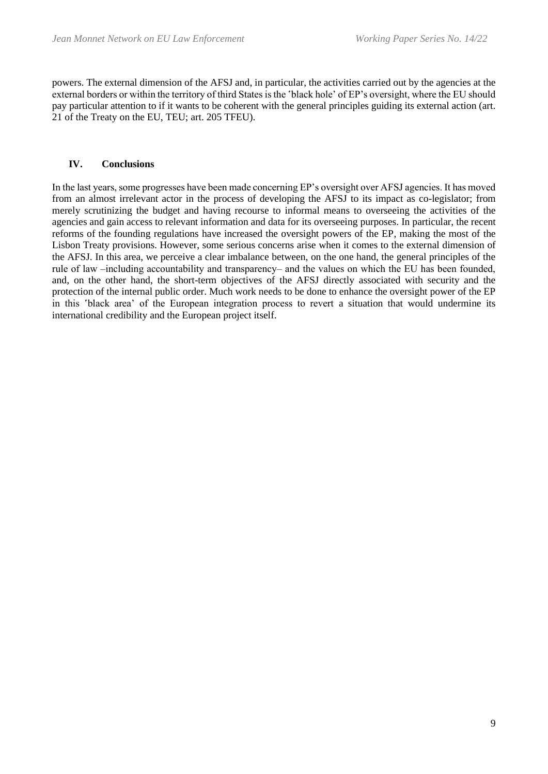powers. The external dimension of the AFSJ and, in particular, the activities carried out by the agencies at the external borders or within the territory of third States is the 'black hole' of EP's oversight, where the EU should pay particular attention to if it wants to be coherent with the general principles guiding its external action (art. 21 of the Treaty on the EU, TEU; art. 205 TFEU).

### **IV. Conclusions**

In the last years, some progresses have been made concerning EP's oversight over AFSJ agencies. It has moved from an almost irrelevant actor in the process of developing the AFSJ to its impact as co-legislator; from merely scrutinizing the budget and having recourse to informal means to overseeing the activities of the agencies and gain access to relevant information and data for its overseeing purposes. In particular, the recent reforms of the founding regulations have increased the oversight powers of the EP, making the most of the Lisbon Treaty provisions. However, some serious concerns arise when it comes to the external dimension of the AFSJ. In this area, we perceive a clear imbalance between, on the one hand, the general principles of the rule of law -including accountability and transparency- and the values on which the EU has been founded, and, on the other hand, the short-term objectives of the AFSJ directly associated with security and the protection of the internal public order. Much work needs to be done to enhance the oversight power of the EP in this 'black area' of the European integration process to revert a situation that would undermine its international credibility and the European project itself.